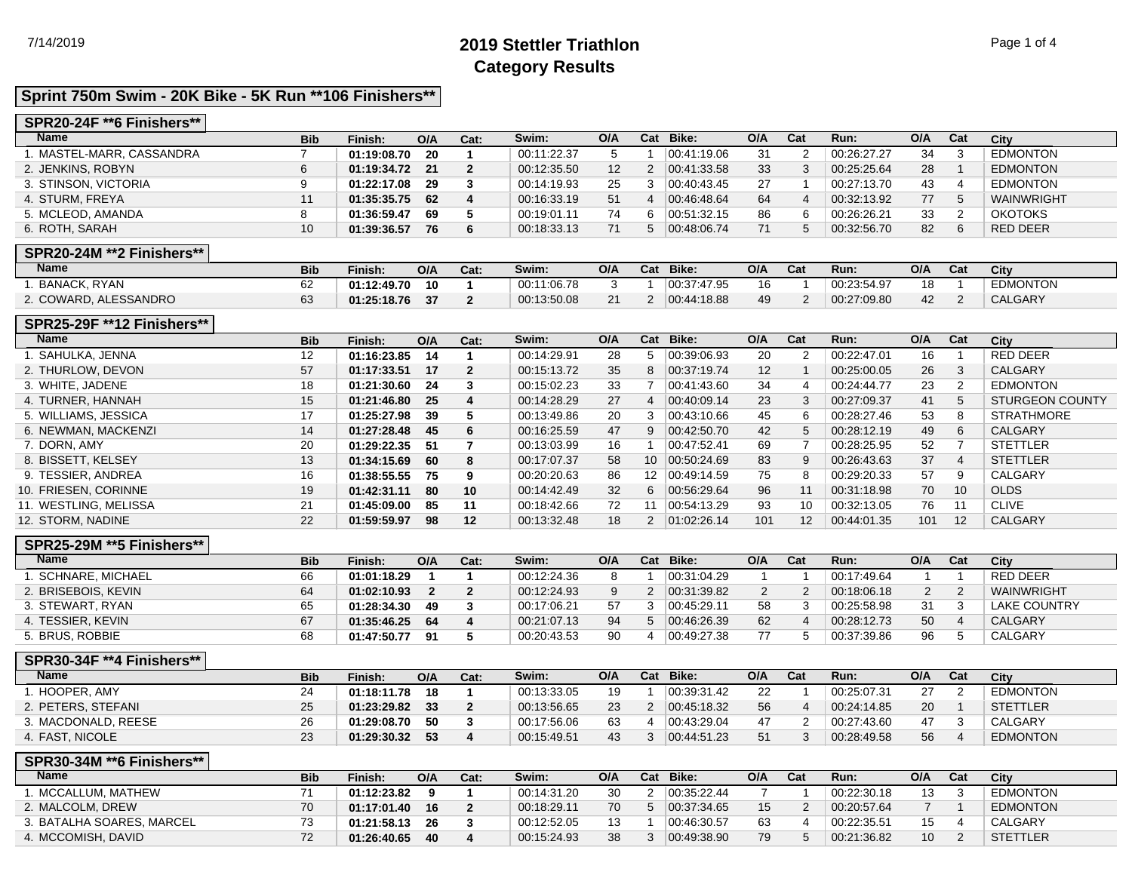# 7/14/2019 **2019 Stettler Triathlon** Page 1 of 4 **Category Results**

## **Sprint 750m Swim - 20K Bike - 5K Run \*\*106 Finishers\*\***

### **SPR20-24F \*\*6 Finishers\*\***

| <b>Name</b>               | <b>Bib</b> | Finish:     | O/A | Cat: | Swim:       | O/A             | Cat            | Bike:       | O/A | Cat | Run:        | O/A | Cat | City            |
|---------------------------|------------|-------------|-----|------|-------------|-----------------|----------------|-------------|-----|-----|-------------|-----|-----|-----------------|
| . MASTEL-MARR. CASSANDRA  |            | 01:19:08.70 | 20  |      | 00:11:22.37 |                 |                | 00:41:19.06 | 31  |     | 00:26:27.27 | 34  | 3   | <b>EDMONTON</b> |
| 2. JENKINS, ROBYN         | 6          | 01:19:34.72 | -21 |      | 00:12:35.50 | 12 <sup>2</sup> | $\overline{2}$ | 00.41.33.58 | 33  |     | 00:25:25.64 | 28  |     | <b>EDMONTON</b> |
| 3. STINSON, VICTORIA      | 9          | 01:22:17.08 | 29  |      | 00:14:19.93 | 25              |                | 00.40.43.45 | 27  |     | 00:27:13.70 | 43  | 4   | <b>EDMONTON</b> |
| 4. STURM. FREYA           | 11         | 01:35:35.75 | 62  |      | 00:16:33.19 | 51              |                | 00:46:48.64 | 64  |     | 00:32:13.92 | 77  | 5   | WAINWRIGHT      |
| 5. MCLEOD, AMANDA         | 8          | 01:36:59.47 | 69  |      | 00:19:01.11 | 74              | 6.             | 00.51.32.15 | 86  | 6   | 00:26:26.21 | 33  | 2   | <b>OKOTOKS</b>  |
| 6. ROTH, SARAH            | 10         | 01:39:36.57 | 76  |      | 00:18:33.13 | 71              | $5^{\circ}$    | 00:48:06.74 | 71  |     | 00:32:56.70 | 82  | 6   | RED DEER        |
| SPR20-24M **2 Finishers** |            |             |     |      |             |                 |                |             |     |     |             |     |     |                 |

#### **SPR20-24M \*\*2 Finishers\*\***

| Name                  | <b>Bib</b> | Finish:     | O/A | Cat: | Swim:       | O/A      | Cat | Bike:       | O/A | Cat | Run:        | O/A | Cat | City            |
|-----------------------|------------|-------------|-----|------|-------------|----------|-----|-------------|-----|-----|-------------|-----|-----|-----------------|
| <b>BANACK, RYAN</b>   | o۷         | 01:12:49.70 | 10  |      | 00:11:06.78 |          |     | 00:37:47.95 |     |     | 00:23:54.97 | 18  |     | <b>EDMONTON</b> |
| 2. COWARD, ALESSANDRO |            | 01:25:18.76 |     |      | 00:13:50.08 | $\Omega$ |     | 00.44:18.88 | 49  |     | 00:27:09.80 | 42  |     | <b>CALGARY</b>  |

#### **SPR25-29F \*\*12 Finishers\*\***

| <b>Bib</b> | Finish: | O/A | Cat:                                                                                                                                                                             | Swim:       | O/A | Cat | Bike:       | O/A                   | Cat | Run:        | O/A | Cat | City                   |
|------------|---------|-----|----------------------------------------------------------------------------------------------------------------------------------------------------------------------------------|-------------|-----|-----|-------------|-----------------------|-----|-------------|-----|-----|------------------------|
| 12         |         | 14  |                                                                                                                                                                                  | 00:14:29.91 | 28  | 5   | 00:39:06.93 | 20                    |     | 00:22:47.01 | 16  |     | RED DEER               |
| 57         |         | 17  | 2                                                                                                                                                                                | 00:15:13.72 | 35  | 8   | 00:37:19.74 | 12 <sup>°</sup>       |     | 00:25:00.05 | 26  | 3   | CALGARY                |
| 18         |         | -24 | 3                                                                                                                                                                                | 00:15:02.23 | 33  |     | 00:41:43.60 | 34                    | -4  | 00:24:44.77 | 23  | 2   | <b>EDMONTON</b>        |
| 15         |         | -25 | 4                                                                                                                                                                                | 00:14:28.29 | 27  | 4   | 00:40:09.14 | 23                    | -3  | 00:27:09.37 | 41  | 5   | <b>STURGEON COUNTY</b> |
| 17         |         | -39 |                                                                                                                                                                                  | 00:13:49.86 | 20  | 3   | 00:43:10.66 | 45                    | 6   | 00:28:27.46 | 53  | 8   | <b>STRATHMORE</b>      |
| 14         |         | -45 | 6                                                                                                                                                                                | 00:16:25.59 | 47  | 9   | 00:42:50.70 | 42                    | 5   | 00:28:12.19 | 49  | 6   | <b>CALGARY</b>         |
| 20         |         | -51 |                                                                                                                                                                                  | 00:13:03.99 | 16  |     | 00:47:52.41 | 69                    |     | 00:28:25.95 | 52  |     | <b>STETTLER</b>        |
| 13         |         | 60  | 8                                                                                                                                                                                | 00:17:07.37 | 58  |     | 00.50.24.69 | 83                    | 9   | 00:26:43.63 | 37  | 4   | <b>STETTLER</b>        |
| 16         |         | 75  | 9                                                                                                                                                                                | 00:20:20.63 | 86  |     | 00:49:14.59 | 75                    | 8   | 00:29:20.33 | 57  | 9   | CALGARY                |
| 19         |         | 80  | 10                                                                                                                                                                               | 00:14:42.49 | 32  | 6   | 00:56:29.64 | 96                    | 11  | 00:31:18.98 | 70  | 10  | <b>OLDS</b>            |
| 21         |         | 85  | 11                                                                                                                                                                               | 00:18:42.66 | 72  | 11  | 00:54:13.29 | 93                    | 10  | 00:32:13.05 | 76  | 11  | <b>CLIVE</b>           |
| 22         |         | 98  | 12                                                                                                                                                                               | 00:13:32.48 | 18  | 2   | 01:02:26.14 | 101                   | 12  | 00:44:01.35 | 101 | 12  | <b>CALGARY</b>         |
|            |         |     | 01:16:23.85<br>01:17:33.51<br>01:21:30.60<br>01:21:46.80<br>01:25:27.98<br>01:27:28.48<br>01:29:22.35<br>01:34:15.69<br>01:38:55.55<br>01:42:31.11<br>01:45:09.00<br>01:59:59.97 |             |     |     |             | 10 <sup>1</sup><br>12 |     |             |     |     |                        |

### **SPR25-29M \*\*5 Finishers\*\***

| <b>Name</b>         | <b>Bib</b> | Finish:     | O/A | Cat: | Swim:       | O/A | Cat | Bike:       | O/A | Run:        | O/A | Cat | City           |
|---------------------|------------|-------------|-----|------|-------------|-----|-----|-------------|-----|-------------|-----|-----|----------------|
| . SCHNARE. MICHAEL  | 66         | 01:01:18.29 |     |      | 00:12:24.36 |     |     | 00:31:04.29 |     | 00:17:49.64 |     |     | RED DEER       |
| 2. BRISEBOIS, KEVIN |            | 01:02:10.93 |     |      | 00:12:24.93 |     |     | 00:31:39.82 |     | 00:18:06.18 |     |     | WAINWRIGHT     |
| 3. STEWART, RYAN    |            | 01:28:34.30 | 49  |      | 00:17:06.21 | 57  |     | 00.45.29.11 | 58  | 00:25:58.98 | 31  |     | LAKE COUNTRY   |
| 4. TESSIER. KEVIN   |            | 01:35:46.25 | 64  |      | 00:21:07.13 | -94 |     | 00:46:26.39 | 62  | 00:28:12.73 | 50  |     | <b>CALGARY</b> |
| BRUS, ROBBIE        | 68         | 01:47:50.77 | 91  |      | 00:20:43.53 | 90  |     | 00:49:27.38 |     | 00:37:39.86 | 96  |     | <b>CALGARY</b> |

## **SPR30-34F \*\*4 Finishers\*\***

| <b>Name</b>         | Bib | Finish:     | O/A | Cat: | Swim:       | O/A | Cat | Bike:                 | O/A | Cat | Run:        | O/A | Cat | <b>City</b>     |
|---------------------|-----|-------------|-----|------|-------------|-----|-----|-----------------------|-----|-----|-------------|-----|-----|-----------------|
| . HOOPER, AMY       | 24  | 01:18:11.78 | 18  |      | 00:13:33.05 | 19  |     | 00:39:31.42           | 22  |     | 00:25:07.31 | 27  |     | <b>EDMONTON</b> |
| 2. PETERS, STEFANI  | 25  | 01:23:29.82 | 33  |      | 00:13:56.65 | 23  |     | 00.45:18.32           | 56  |     | 00:24:14.85 | 20  |     | <b>STETTLER</b> |
| 3. MACDONALD, REESE | 26  | 01:29:08.70 | 50  |      | 00:17:56.06 | 63  |     | 00.43.29.04           | 47  |     | 00:27:43.60 | 47  |     | CALGARY         |
| 4. FAST, NICOLE     | 23  | 01:29:30.32 | 53  |      | 00:15:49.51 | 43  |     | $ 00.44.51.23\rangle$ | 51  |     | 00:28:49.58 | 56  |     | <b>EDMONTON</b> |

### **SPR30-34M \*\*6 Finishers\*\***

| Name                      | <b>Bib</b> | Finish:        | O/A  | Cat: | Swim:       | O/A | Cat | Bike:       | O/A | Cat | Run:        | O/A | Cat | City            |
|---------------------------|------------|----------------|------|------|-------------|-----|-----|-------------|-----|-----|-------------|-----|-----|-----------------|
| . MCCALLUM. MATHEW        |            | 01:12:23.82    |      |      | 00:14:31.20 | 30  |     | 00:35:22.44 |     |     | 00:22:30.18 | 13  |     | <b>EDMONTON</b> |
| 2. MALCOLM, DREW          | 70         | 01:17:01.40 16 |      |      | 00:18:29.11 | 70  |     | 00:37:34.65 | 15  |     | 00:20:57.64 |     |     | <b>EDMONTON</b> |
| 3. BATALHA SOARES, MARCEL |            | 01:21:58.13    | - 26 |      | 00:12:52.05 | 13  |     | 00:46:30.57 | 63  |     | 00:22:35.51 | 15  |     | CALGARY         |
| 4. MCCOMISH, DAVID        | 72         | 01:26:40.65    | -40  |      | 00:15:24.93 | 38  |     | 00:49:38.90 | 79  |     | 00:21:36.82 | 10  |     | <b>STETTLER</b> |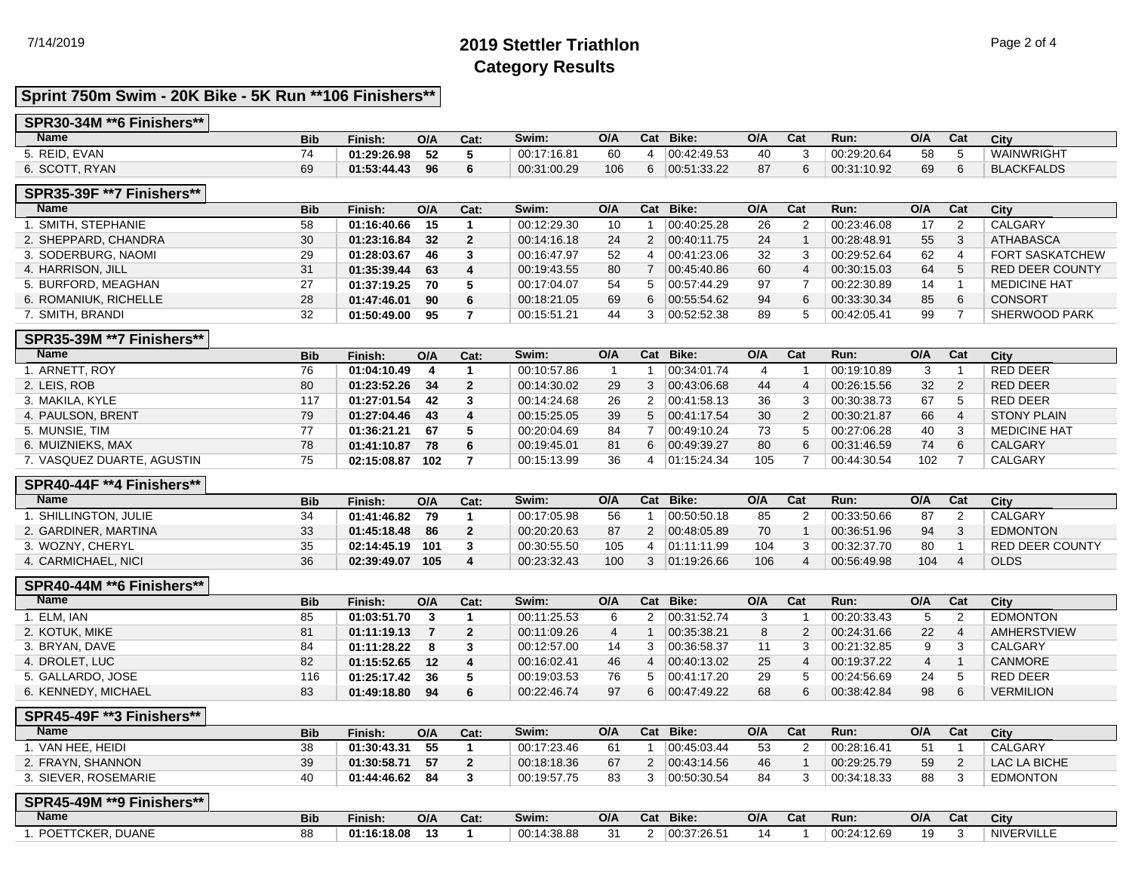# 7/14/2019 **2019 Stettler Triathlon** Page 2 of 4 **Category Results**

## **Sprint 750m Swim - 20K Bike - 5K Run \*\*106 Finishers\*\***

### **SPR30-34M \*\*6 Finishers\*\***

| Name           | <b>Bib</b> | Finish:     | O/A | Cat: | Swim:       | O/A | $\sim$<br>- val | Bike:       | O/A | Cat | Run:        | O/A | Cat | City              |
|----------------|------------|-------------|-----|------|-------------|-----|-----------------|-------------|-----|-----|-------------|-----|-----|-------------------|
| 5. REID, EVAN  |            | 01:29:26.98 | 52  |      | 00:17:16.81 | 60  |                 | 00.42.49.53 | 40  |     | 00:29:20.64 | 58  |     | <b>WAINWRIGHT</b> |
| 6. SCOTT, RYAN | 69         | 01:53:44.43 | 96  |      | 00:31:00.29 | 106 |                 | 00:51:33.22 | 87  |     | 00:31:10.92 | 69  |     | <b>BLACKFALDS</b> |

#### **SPR35-39F \*\*7 Finishers\*\***

| ATHABASCA              |
|------------------------|
| <b>FORT SASKATCHEW</b> |
| <b>RED DEER COUNTY</b> |
| <b>MEDICINE HAT</b>    |
|                        |
| SHERWOOD PARK          |
|                        |

### **SPR35-39M \*\*7 Finishers\*\***

| Name                       | <b>Bib</b> | Finish:     | O/A | Cat: | Swim:       | O/A | Cat | Bike:       | O/A | Cat | Run:        | O/A | Cat | City                |
|----------------------------|------------|-------------|-----|------|-------------|-----|-----|-------------|-----|-----|-------------|-----|-----|---------------------|
| I. ARNETT. ROY             | 76         | 01:04:10.49 |     |      | 00:10:57.86 |     |     | 00:34:01.74 |     |     | 00:19:10.89 |     |     | <b>RED DEER</b>     |
| 2. LEIS, ROB               | 80         | 01:23:52.26 | 34  |      | 00:14:30.02 | 29  |     | 00:43:06.68 | 44  |     | 00:26:15.56 | 32  |     | <b>RED DEER</b>     |
| 3. MAKILA, KYLE            | 117        | 01:27:01.54 | 42  |      | 00:14:24.68 | 26  | ົ   | 00.41.58.13 | 36  |     | 00:30:38.73 | 67  |     | <b>RED DEER</b>     |
| 4. PAULSON, BRENT          | 79         | 01:27:04.46 | 43  | 4    | 00:15:25.05 | 39  | 5   | 00:41:17.54 | 30  |     | 00:30:21.87 | 66  |     | <b>STONY PLAIN</b>  |
| 5. MUNSIE, TIM             |            | 01:36:21.21 | 67  |      | 00:20:04.69 | 84  |     | 00:49:10.24 | 73  |     | 00:27:06.28 | 40  |     | <b>MEDICINE HAT</b> |
| 6. MUIZNIEKS. MAX          | 78         | 01:41:10.87 | 78  | 6    | 00:19:45.01 | 81  | 6.  | 00:49:39.27 | 80  |     | 00:31:46.59 | 74  | 6   | <b>CALGARY</b>      |
| 7. VASQUEZ DUARTE, AGUSTIN | 75         | 02:15:08.87 | 102 |      | 00:15:13.99 | 36  |     | 01:15:24.34 | 105 |     | 00:44:30.54 | 102 |     | CALGARY             |

#### **SPR40-44F \*\*4 Finishers\*\***

| Name                 | <b>Bib</b> | Finish:     | O/A | Cat: | Swim:       | O/A | Cat | Bike:       | O/A | Cat | Run:        | O/A | Cat | City                   |
|----------------------|------------|-------------|-----|------|-------------|-----|-----|-------------|-----|-----|-------------|-----|-----|------------------------|
| SHILLINGTON, JULIE   |            | 01:41:46.82 | 79  |      | 00:17:05.98 | -56 |     | 00:50:50.18 | 85  |     | 00:33:50.66 | 87  |     | CALGARY                |
| 2. GARDINER, MARTINA | 33         | 01:45:18.48 | 86  |      | 00:20:20.63 | 87  |     | 00:48:05.89 | 70  |     | 00:36:51.96 | 94  |     | <b>EDMONTON</b>        |
| 3. WOZNY, CHERYL     | 35         | 02:14:45.19 | 101 |      | 00:30:55.50 | 105 |     | 01:11:11.99 | 104 |     | 00:32:37.70 | 80  |     | <b>RED DEER COUNTY</b> |
| 4. CARMICHAEL, NICI  | 36         | 02:39:49.07 | 105 |      | 00:23:32.43 | 100 |     | 01:19:26.66 | 106 |     | 00:56:49.98 | 104 |     | <b>OLDS</b>            |

### **SPR40-44M \*\*6 Finishers\*\***

| <b>Name</b>         | <b>Bib</b> | Finish:     | O/A | Cat: | Swim:       | O/A | Cat | Bike:                 | O/A | Cat | Run:        | O/A | Cat | City             |
|---------------------|------------|-------------|-----|------|-------------|-----|-----|-----------------------|-----|-----|-------------|-----|-----|------------------|
| . ELM. IAN          | 85         | 01:03:51.70 |     |      | 00:11:25.53 |     |     | 00:31:52.74           |     |     | 00:20:33.43 |     |     | <b>EDMONTON</b>  |
| 2. KOTUK, MIKE      | 81         | 01:11:19.13 |     |      | 00:11:09.26 |     |     | 00:35:38.21           |     |     | 00:24:31.66 | 22  |     | AMHERSTVIEW      |
| 3. BRYAN. DAVE      | 84         | 01:11:28.22 |     |      | 00:12:57.00 | 14  |     | 00:36:58.37           |     |     | 00:21:32.85 | 9   |     | CALGARY          |
| 4. DROLET, LUC      | 82         | 01:15:52.65 | 12  |      | 00:16:02.41 | 46  |     | $ 00.40.13.02\rangle$ | 25  |     | 00:19:37.22 | 4   |     | <b>CANMORE</b>   |
| 5. GALLARDO. JOSE   | 116        | 01:25:17.42 | -36 |      | 00:19:03.53 | 76  |     | 00:41:17.20           | 29  |     | 00:24:56.69 | 24  |     | <b>RED DEER</b>  |
| 6. KENNEDY, MICHAEL | 83         | 01:49:18.80 | 94  |      | 00:22:46.74 | 97  |     | 00:47:49.22           | 68  |     | 00:38:42.84 | 98  |     | <b>VERMILION</b> |

### **SPR45-49F \*\*3 Finishers\*\***

| <b>Name</b>          | <b>Bib</b> | Finish:     | O/A | Cat: | Swim:       | O/A | Cat | Bike:       | O/A | Cat | Run:        | O/A | Cat | City            |
|----------------------|------------|-------------|-----|------|-------------|-----|-----|-------------|-----|-----|-------------|-----|-----|-----------------|
| VAN HEE, HEIDI       | 38         | 01:30:43.31 |     |      | 00:17:23.46 | 61  |     | 00.45.03.44 | 53  |     | 00:28:16.41 | 51  |     | CALGARY         |
| 2. FRAYN, SHANNON    | 39         | 01:30:58.71 | 57  |      | 00:18:18.36 | 67  |     | 00.43.14.56 | 46  |     | 00:29:25.79 | 59  |     | LAC LA BICHE    |
| 3. SIEVER, ROSEMARIE | 40         | 01:44:46.62 | 84  |      | 00:19:57.75 | 83  |     | 00:50:30.54 | 84  |     | 00:34:18.33 | 88  |     | <b>EDMONTON</b> |

| SPR45-49M **9 Finishers** |            |             |                               |      |             |         |     |             |      |     |             |     |     |                   |
|---------------------------|------------|-------------|-------------------------------|------|-------------|---------|-----|-------------|------|-----|-------------|-----|-----|-------------------|
| <b>Name</b>               | <b>Bib</b> | $F$ inish:  | O/A                           | Cat: | Swim:       | O/A     | Cat | Bike:       | O/A  | Cat | Run:        | O/A | Cat | City              |
| POETTCKER, DUANE          |            | 01:16:18.08 | $\overline{\phantom{a}}$<br>⊶ |      | 00:14:38.88 | 21<br>ີ |     | 00:37:26.51 | - 14 |     | 00:24:12.69 | 19  | . . | <b>NIVERVILLE</b> |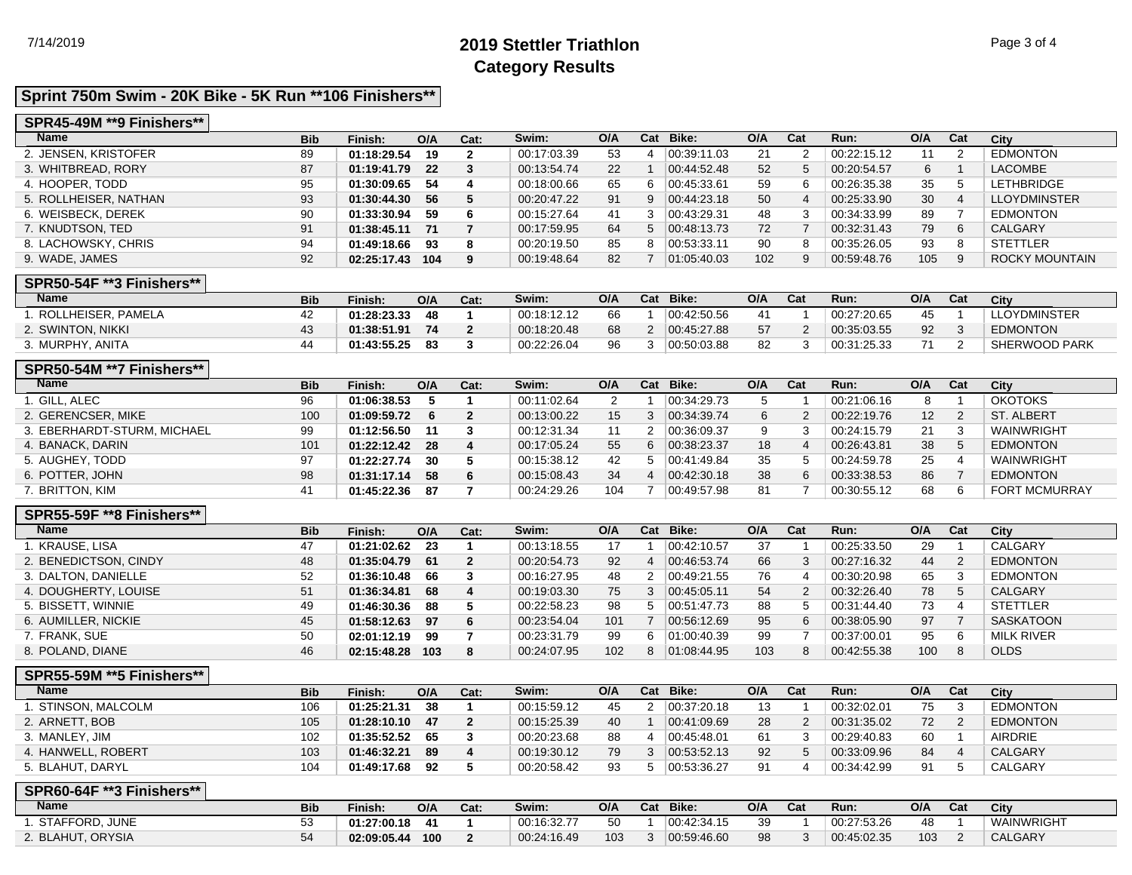# 7/14/2019 **2019 Stettler Triathlon** Page 3 of 4 **Category Results**

## **Sprint 750m Swim - 20K Bike - 5K Run \*\*106 Finishers\*\***

#### **SPR45-49M \*\*9 Finishers\*\***

| <b>Name</b>                            | <b>Bib</b> | Finish:                        | O/A | Cat:                           | Swim:                      | O/A       |                                | Cat Bike:                  | O/A      | Cat            | Run:                       | O/A       | Cat               | City                                |
|----------------------------------------|------------|--------------------------------|-----|--------------------------------|----------------------------|-----------|--------------------------------|----------------------------|----------|----------------|----------------------------|-----------|-------------------|-------------------------------------|
| 2. JENSEN, KRISTOFER                   | 89         | 01:18:29.54                    | 19  | $\mathbf{2}$                   | 00:17:03.39                | 53        | 4                              | 00:39:11.03                | 21       | $\overline{2}$ | 00:22:15.12                | 11        | 2                 | <b>EDMONTON</b>                     |
| 3. WHITBREAD, RORY                     | 87         | 01:19:41.79                    | 22  | 3                              | 00:13:54.74                | 22        | $\mathbf{1}$                   | 00:44:52.48                | 52       | 5              | 00:20:54.57                | 6         | $\mathbf{1}$      | <b>LACOMBE</b>                      |
| 4. HOOPER, TODD                        | 95         | 01:30:09.65                    | 54  | 4                              | 00:18:00.66                | 65        | 6                              | 00:45:33.61                | 59       | 6              | 00:26:35.38                | 35        | 5                 | <b>LETHBRIDGE</b>                   |
| 5. ROLLHEISER, NATHAN                  | 93         | 01:30:44.30                    | 56  | 5                              | 00:20:47.22                | 91        | 9                              | 00:44:23.18                | 50       | $\overline{4}$ | 00:25:33.90                | 30        | $\overline{4}$    | <b>LLOYDMINSTER</b>                 |
| 6. WEISBECK, DEREK                     | 90         | 01:33:30.94                    | 59  | 6                              | 00:15:27.64                | 41        | 3                              | 00:43:29.31                | 48       | 3              | 00:34:33.99                | 89        | $\overline{7}$    | <b>EDMONTON</b>                     |
| 7. KNUDTSON, TED                       | 91         | 01:38:45.11                    | 71  | $\overline{7}$                 | 00:17:59.95                | 64        | 5                              | 00:48:13.73                | 72       | $\overline{7}$ | 00:32:31.43                | 79        | 6                 | <b>CALGARY</b>                      |
| 8. LACHOWSKY, CHRIS                    | 94         | 01:49:18.66                    | 93  | 8                              | 00:20:19.50                | 85        | 8                              | 00:53:33.11                | 90       | 8              | 00:35:26.05                | 93        | 8                 | <b>STETTLER</b>                     |
| 9. WADE, JAMES                         | 92         | 02:25:17.43 104                |     | 9                              | 00:19:48.64                | 82        | $\overline{7}$                 | 01:05:40.03                | 102      | 9              | 00:59:48.76                | 105       | 9                 | <b>ROCKY MOUNTAIN</b>               |
|                                        |            |                                |     |                                |                            |           |                                |                            |          |                |                            |           |                   |                                     |
| <b>SPR50-54F **3 Finishers**</b>       |            |                                |     |                                |                            |           |                                |                            |          |                |                            |           |                   |                                     |
| <b>Name</b>                            | <b>Bib</b> | Finish:                        | O/A | Cat:                           | Swim:                      | O/A       |                                | Cat Bike:                  | O/A      | Cat            | Run:                       | O/A       | Cat               | City                                |
| 1. ROLLHEISER, PAMELA                  | 42         | 01:28:23.33                    | 48  | $\mathbf{1}$                   | 00:18:12.12                | 66        | $\mathbf{1}$                   | 00:42:50.56                | 41       | - 1            | 00:27:20.65                | 45        | $\overline{1}$    | <b>LLOYDMINSTER</b>                 |
| 2. SWINTON, NIKKI                      | 43         | 01:38:51.91                    | 74  | $\overline{2}$                 | 00:18:20.48                | 68        | $\overline{2}$                 | 00:45:27.88                | 57       | $\overline{2}$ | 00:35:03.55                | 92        | 3                 | <b>EDMONTON</b>                     |
| 3. MURPHY, ANITA                       | 44         | 01:43:55.25                    | 83  | 3                              | 00:22:26.04                | 96        | 3                              | 00:50:03.88                | 82       | 3              | 00:31:25.33                | 71        | 2                 | <b>SHERWOOD PARK</b>                |
|                                        |            |                                |     |                                |                            |           |                                |                            |          |                |                            |           |                   |                                     |
| SPR50-54M ** 7 Finishers**             |            |                                |     |                                |                            |           |                                |                            |          |                |                            |           |                   |                                     |
| <b>Name</b>                            | <b>Bib</b> | Finish:                        | O/A | Cat:                           | Swim:                      | O/A       | Cat                            | Bike:                      | O/A      | Cat            | Run:                       | O/A       | Cat               | City                                |
| 1. GILL. ALEC                          | 96         | 01:06:38.53                    | 5   | $\mathbf{1}$                   | 00:11:02.64                | 2         | $\mathbf{1}$                   | 00:34:29.73                | 5        | - 1            | 00:21:06.16                | 8         | $\overline{1}$    | <b>OKOTOKS</b>                      |
| 2. GERENCSER, MIKE                     | 100        | 01:09:59.72                    | 6   | $\mathbf{2}$                   | 00:13:00.22                | 15        | 3                              | 00:34:39.74                | 6        | 2              | 00:22:19.76                | 12        | 2                 | <b>ST. ALBERT</b>                   |
| 3. EBERHARDT-STURM, MICHAEL            | 99         | 01:12:56.50                    | 11  | 3                              | 00:12:31.34                | 11        | $\overline{2}$                 | 00:36:09.37                | 9        | 3              | 00:24:15.79                | 21        | 3                 | <b>WAINWRIGHT</b>                   |
| 4. BANACK, DARIN                       | 101        | 01:22:12.42                    | 28  | 4                              | 00:17:05.24                | 55        | 6                              | 00:38:23.37                | 18       | $\overline{4}$ | 00:26:43.81                | 38        | 5                 | <b>EDMONTON</b>                     |
| 5. AUGHEY, TODD                        | 97         | 01:22:27.74                    | 30  | 5                              | 00:15:38.12                | 42        | 5                              | 00:41:49.84                | 35       | 5              | 00:24:59.78                | 25        | $\overline{4}$    | WAINWRIGHT                          |
| 6. POTTER, JOHN                        | 98         | 01:31:17.14                    | 58  | 6                              | 00:15:08.43                | 34        | $\overline{4}$                 | 00:42:30.18                | 38       | 6              | 00:33:38.53                | 86        | $\overline{7}$    | <b>EDMONTON</b>                     |
| 7. BRITTON, KIM                        | 41         | 01:45:22.36                    | 87  | $\overline{7}$                 | 00:24:29.26                | 104       | $\overline{7}$                 | 00:49:57.98                | 81       | $\overline{7}$ | 00:30:55.12                | 68        | 6                 | <b>FORT MCMURRAY</b>                |
| SPR55-59F ** 8 Finishers**             |            |                                |     |                                |                            |           |                                |                            |          |                |                            |           |                   |                                     |
|                                        |            |                                |     | Cat:                           |                            |           |                                | Cat Bike:                  | O/A      | Cat            | Run:                       | O/A       | Cat               | <b>City</b>                         |
|                                        |            |                                |     |                                |                            |           |                                |                            |          |                |                            |           |                   |                                     |
| <b>Name</b>                            | <b>Bib</b> | Finish:                        | O/A |                                | Swim:                      | O/A       |                                |                            |          |                |                            |           |                   |                                     |
| 1. KRAUSE, LISA                        | 47         | 01:21:02.62                    | 23  | $\mathbf{1}$                   | 00:13:18.55                | 17        | $\mathbf{1}$                   | 00:42:10.57                | 37       | $\overline{1}$ | 00:25:33.50                | 29        | $\overline{1}$    | CALGARY                             |
| 2. BENEDICTSON, CINDY                  | 48         | 01:35:04.79                    | 61  | $\mathbf{2}$                   | 00:20:54.73                | 92        | 4                              | 00:46:53.74                | 66       | 3              | 00:27:16.32                | 44        | 2                 | <b>EDMONTON</b>                     |
| 3. DALTON, DANIELLE                    | 52         | 01:36:10.48                    | 66  | 3                              | 00:16:27.95                | 48        | $\overline{2}$                 | 00:49:21.55                | 76       | $\overline{4}$ | 00:30:20.98                | 65        | 3                 | <b>EDMONTON</b>                     |
| 4. DOUGHERTY, LOUISE                   | 51         | 01:36:34.81                    | 68  | 4                              | 00:19:03.30                | 75        | 3                              | 00:45:05.11                | 54       | 2              | 00:32:26.40                | 78        | 5                 | CALGARY                             |
| 5. BISSETT, WINNIE                     | 49         | 01:46:30.36                    | 88  | 5                              | 00:22:58.23                | 98        | 5                              | 00:51:47.73                | 88       | 5              | 00:31:44.40                | 73        | $\overline{4}$    | <b>STETTLER</b>                     |
| 6. AUMILLER, NICKIE                    | 45         | 01:58:12.63                    | 97  | 6                              | 00:23:54.04                | 101       | $\overline{7}$                 | 00:56:12.69                | 95       | 6              | 00:38:05.90                | 97        | $\overline{7}$    | <b>SASKATOON</b>                    |
| 7. FRANK, SUE                          | 50         | 02:01:12.19                    | 99  | $\overline{7}$                 | 00:23:31.79                | 99        | 6                              | 01:00:40.39                | 99       | $\overline{7}$ | 00:37:00.01                | 95        | 6                 | <b>MILK RIVER</b>                   |
| 8. POLAND, DIANE                       | 46         | 02:15:48.28 103                |     | 8                              | 00:24:07.95                | 102       | 8                              | 01:08:44.95                | 103      | 8              | 00:42:55.38                | 100       | 8                 | <b>OLDS</b>                         |
| <b>SPR55-59M **5 Finishers**</b>       |            |                                |     |                                |                            |           |                                |                            |          |                |                            |           |                   |                                     |
| <b>Name</b>                            | <b>Bib</b> | Finish:                        | O/A | Cat:                           | Swim:                      | O/A       | Cat                            | Bike:                      | O/A      | Cat            | Run:                       | O/A       | Cat               | <b>City</b>                         |
| 1. STINSON, MALCOLM                    | 106        | 01:25:21.31                    | 38  | $\mathbf{1}$                   | 00:15:59.12                | 45        | $\overline{2}$                 | 00:37:20.18                | 13       | $\overline{1}$ | 00:32:02.01                | 75        | 3                 | <b>EDMONTON</b>                     |
| 2. ARNETT, BOB                         | 105        | 01:28:10.10                    | 47  | $\overline{2}$                 | 00:15:25.39                | 40        | $\mathbf{1}$                   | 00:41:09.69                | 28       | $\overline{2}$ | 00:31:35.02                | 72        | 2                 | <b>EDMONTON</b>                     |
| 3. MANLEY, JIM                         | 102        | 01:35:52.52                    | 65  | 3                              | 00:20:23.68                | 88        | 4                              | 00:45:48.01                | 61       | 3              | 00:29:40.83                | 60        | $\overline{1}$    | <b>AIRDRIE</b>                      |
| 4. HANWELL, ROBERT                     | 103        | 01:46:32.21                    | 89  | 4                              | 00:19:30.12                | 79        | 3                              | 00:53:52.13                | 92       | 5              | 00:33:09.96                | 84        | 4                 | CALGARY                             |
| 5. BLAHUT, DARYL                       | 104        | 01:49:17.68                    | 92  | 5                              | 00:20:58.42                | 93        | 5                              | 00:53:36.27                | 91       | 4              | 00:34:42.99                | 91        | 5                 | <b>CALGARY</b>                      |
|                                        |            |                                |     |                                |                            |           |                                |                            |          |                |                            |           |                   |                                     |
| SPR60-64F ** 3 Finishers**             |            |                                |     |                                |                            |           |                                |                            |          |                |                            |           |                   |                                     |
| <b>Name</b>                            | <b>Bib</b> | Finish:                        | O/A | Cat:                           | Swim:                      | O/A       |                                | Cat Bike:                  | O/A      | Cat            | Run:                       | O/A       | Cat               | City                                |
| 1. STAFFORD, JUNE<br>2. BLAHUT, ORYSIA | 53<br>54   | 01:27:00.18<br>02:09:05.44 100 | 41  | $\mathbf{1}$<br>$\overline{2}$ | 00:16:32.77<br>00:24:16.49 | 50<br>103 | $\mathbf{1}$<br>3 <sup>1</sup> | 00:42:34.15<br>00:59:46.60 | 39<br>98 | -1<br>3        | 00:27:53.26<br>00:45:02.35 | 48<br>103 | $\mathbf{1}$<br>2 | <b>WAINWRIGHT</b><br><b>CALGARY</b> |